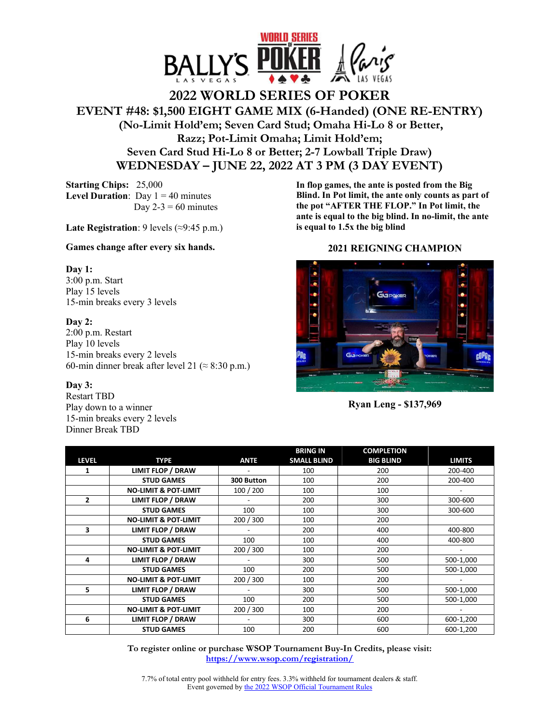

# **2022 WORLD SERIES OF POKER EVENT #48: \$1,500 EIGHT GAME MIX (6-Handed) (ONE RE-ENTRY) (No-Limit Hold'em; Seven Card Stud; Omaha Hi-Lo 8 or Better, Razz; Pot-Limit Omaha; Limit Hold'em; Seven Card Stud Hi-Lo 8 or Better; 2-7 Lowball Triple Draw) WEDNESDAY – JUNE 22, 2022 AT 3 PM (3 DAY EVENT)**

**Starting Chips:** 25,000 **Level Duration**: Day  $1 = 40$  minutes Day  $2-3 = 60$  minutes

**Late Registration**: 9 levels (≈9:45 p.m.)

## **Games change after every six hands.**

## **Day 1:**

3:00 p.m. Start Play 15 levels 15-min breaks every 3 levels

## **Day 2:**

2:00 p.m. Restart Play 10 levels 15-min breaks every 2 levels 60-min dinner break after level 21 ( $\approx$  8:30 p.m.)

## **Day 3:**

Restart TBD Play down to a winner 15-min breaks every 2 levels Dinner Break TBD

**In flop games, the ante is posted from the Big Blind. In Pot limit, the ante only counts as part of the pot "AFTER THE FLOP." In Pot limit, the ante is equal to the big blind. In no-limit, the ante is equal to 1.5x the big blind**

## **2021 REIGNING CHAMPION**



**Ryan Leng - \$137,969** 

|                |                                 |             | <b>BRING IN</b>    | <b>COMPLETION</b> |               |
|----------------|---------------------------------|-------------|--------------------|-------------------|---------------|
| <b>LEVEL</b>   | <b>TYPE</b>                     | <b>ANTE</b> | <b>SMALL BLIND</b> | <b>BIG BLIND</b>  | <b>LIMITS</b> |
| 1              | <b>LIMIT FLOP / DRAW</b>        |             | 100                | 200               | 200-400       |
|                | <b>STUD GAMES</b>               | 300 Button  | 100                | 200               | 200-400       |
|                | <b>NO-LIMIT &amp; POT-LIMIT</b> | 100 / 200   | 100                | 100               |               |
| $\overline{2}$ | LIMIT FLOP / DRAW               |             | 200                | 300               | 300-600       |
|                | <b>STUD GAMES</b>               | 100         | 100                | 300               | 300-600       |
|                | <b>NO-LIMIT &amp; POT-LIMIT</b> | 200 / 300   | 100                | 200               |               |
| 3              | <b>LIMIT FLOP / DRAW</b>        |             | 200                | 400               | 400-800       |
|                | <b>STUD GAMES</b>               | 100         | 100                | 400               | 400-800       |
|                | <b>NO-LIMIT &amp; POT-LIMIT</b> | 200 / 300   | 100                | 200               |               |
| 4              | <b>LIMIT FLOP / DRAW</b>        |             | 300                | 500               | 500-1,000     |
|                | <b>STUD GAMES</b>               | 100         | 200                | 500               | 500-1,000     |
|                | <b>NO-LIMIT &amp; POT-LIMIT</b> | 200 / 300   | 100                | 200               |               |
| 5              | <b>LIMIT FLOP / DRAW</b>        |             | 300                | 500               | 500-1,000     |
|                | <b>STUD GAMES</b>               | 100         | 200                | 500               | 500-1,000     |
|                | <b>NO-LIMIT &amp; POT-LIMIT</b> | 200 / 300   | 100                | 200               |               |
| 6              | <b>LIMIT FLOP / DRAW</b>        |             | 300                | 600               | 600-1,200     |
|                | <b>STUD GAMES</b>               | 100         | 200                | 600               | 600-1,200     |

**To register online or purchase WSOP Tournament Buy-In Credits, please visit: https://www.wsop.com/registration/**

7.7% of total entry pool withheld for entry fees. 3.3% withheld for tournament dealers & staff. Event governed by the 2022 WSOP Official Tournament Rules